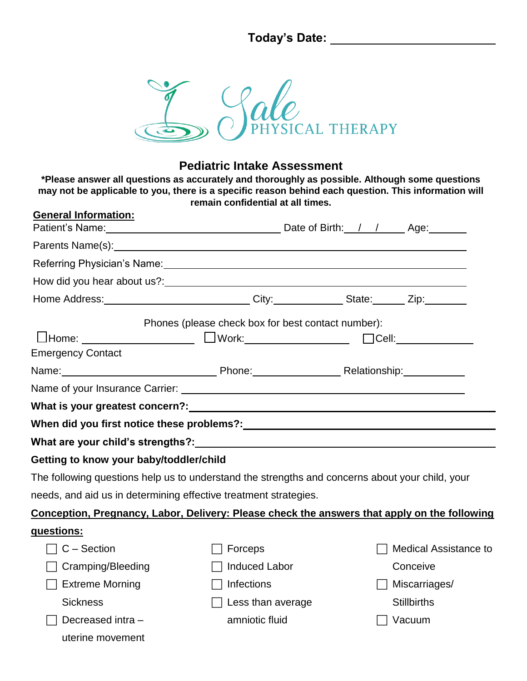**Today's Date:** 



## **Pediatric Intake Assessment**

**\*Please answer all questions as accurately and thoroughly as possible. Although some questions may not be applicable to you, there is a specific reason behind each question. This information will remain confidential at all times.** 

| <b>General Information:</b>                                      |                                                                                                                                                                                                                                        |                                                                                              |  |
|------------------------------------------------------------------|----------------------------------------------------------------------------------------------------------------------------------------------------------------------------------------------------------------------------------------|----------------------------------------------------------------------------------------------|--|
|                                                                  |                                                                                                                                                                                                                                        |                                                                                              |  |
|                                                                  | Referring Physician's Name: The Contract of the Contract of the Contract of the Contract of the Contract of the Contract of the Contract of the Contract of the Contract of the Contract of the Contract of the Contract of th         |                                                                                              |  |
|                                                                  | How did you hear about us?:<br><u> Letting and the contract of the set of the set of the set of the set of the set of the set of the set of the set of the set of the set of the set of the set of the set of the set of the set o</u> |                                                                                              |  |
|                                                                  | Home Address: ______________________________City:_____________State: ______Zip:________                                                                                                                                                |                                                                                              |  |
|                                                                  | Phones (please check box for best contact number):                                                                                                                                                                                     |                                                                                              |  |
|                                                                  | UHome: _______________________ UWork:______________________ □Cell:_____________                                                                                                                                                        |                                                                                              |  |
| <b>Emergency Contact</b>                                         |                                                                                                                                                                                                                                        |                                                                                              |  |
|                                                                  | Name: Name: Name: Name: Name: Name: Name: Name: Name: Name: Name: Name: Name: Name: Name: Name: Name: Name: Na                                                                                                                         |                                                                                              |  |
|                                                                  |                                                                                                                                                                                                                                        |                                                                                              |  |
|                                                                  | What is your greatest concern?: What is your greatest concern?                                                                                                                                                                         |                                                                                              |  |
|                                                                  | When did you first notice these problems?: When did you first notice these problems?:                                                                                                                                                  |                                                                                              |  |
|                                                                  | What are your child's strengths?: What are your child                                                                                                                                                                                  |                                                                                              |  |
| Getting to know your baby/toddler/child                          |                                                                                                                                                                                                                                        |                                                                                              |  |
|                                                                  | The following questions help us to understand the strengths and concerns about your child, your                                                                                                                                        |                                                                                              |  |
| needs, and aid us in determining effective treatment strategies. |                                                                                                                                                                                                                                        |                                                                                              |  |
|                                                                  |                                                                                                                                                                                                                                        | Conception, Pregnancy, Labor, Delivery: Please check the answers that apply on the following |  |
| questions:                                                       |                                                                                                                                                                                                                                        |                                                                                              |  |
| $C -$ Section                                                    | Forceps                                                                                                                                                                                                                                | <b>Medical Assistance to</b>                                                                 |  |
| Cramping/Bleeding                                                | <b>Induced Labor</b>                                                                                                                                                                                                                   | Conceive                                                                                     |  |
| <b>Extreme Morning</b>                                           | Infections                                                                                                                                                                                                                             | Miscarriages/                                                                                |  |
| <b>Sickness</b>                                                  | Less than average                                                                                                                                                                                                                      | <b>Stillbirths</b>                                                                           |  |
| Decreased intra -                                                | amniotic fluid                                                                                                                                                                                                                         | Vacuum                                                                                       |  |
| uterine movement                                                 |                                                                                                                                                                                                                                        |                                                                                              |  |